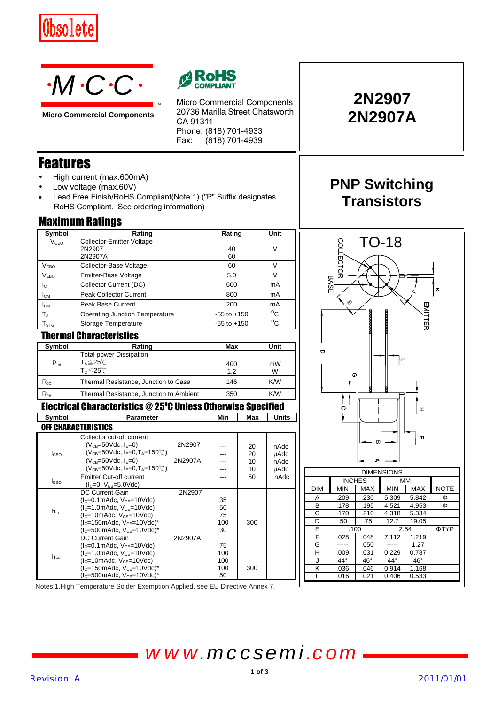



**Micro Commercial Components**



Micro Commercial Components 20736 Marilla Street Chatsworth CA 91311 Phone: (818) 701-4933 Fax:  $(818)$  701-4939

Features

- High current (max.600mA)
- Low voltage (max.60V)
- Lead Free Finish/RoHS Compliant(Note 1) ("P" Suffix designates RoHS Compliant. See ordering information)

TM

| Symbol                  | Rating                                | Rating          | Unit         |  |
|-------------------------|---------------------------------------|-----------------|--------------|--|
| V <sub>CEO</sub>        | Collector-Emitter Voltage             |                 |              |  |
|                         | 2N2907                                | 40              | V            |  |
|                         | 2N2907A                               | 60              |              |  |
| V <sub>CBO</sub>        | Collector-Base Voltage                | 60              | v            |  |
| V <sub>EBO</sub>        | Emitter-Base Voltage                  | 5.0             |              |  |
| $I_{\rm C}$             | Collector Current (DC)                | 600             | mA           |  |
| $I_{CM}$                | <b>Peak Collector Current</b>         | 800             | mA           |  |
| <b>I</b> <sub>BM</sub>  | Peak Base Current                     | 200             | mA           |  |
| $\mathsf{T}_\mathrm{J}$ | <b>Operating Junction Temperature</b> | $-55$ to $+150$ | $^{\circ}$ C |  |
| $T_{\text{STG}}$        | Storage Temperature                   | $-55$ to $+150$ | $^{\circ}$ c |  |
| Thormal Pharactorictice |                                       |                 |              |  |

| THULLINI VINI YUUTUU KU |                                         |     |      |
|-------------------------|-----------------------------------------|-----|------|
| Symbol                  | Rating                                  | Max | Unit |
|                         | <b>Total power Dissipation</b>          |     |      |
| $P_{\text{tot}}$        | $T_A \leq 25^{\circ}$ C                 | 400 | mW   |
|                         | $T_c \leq 25^{\circ}$ C                 | 1.2 | w    |
| $R_{\text{JC}}$         | Thermal Resistance, Junction to Case    | 146 | K/W  |
| $R_{JA}$                | Thermal Resistance, Junction to Ambient | 350 | K/W  |
|                         |                                         |     |      |

## Electrical Characteristics @ 25*<sup>O</sup>* C Unless Otherwise Specified

| Symbol           | Parameter                                    |         | Min | Max | Units |
|------------------|----------------------------------------------|---------|-----|-----|-------|
|                  | <b>OFF CHARACTERISTICS</b>                   |         |     |     |       |
|                  | Collector cut-off current                    |         |     |     |       |
|                  | $(V_{CR} = 50$ Vdc, $I_F = 0$ )              | 2N2907  |     | 20  | nAdc  |
| I <sub>CBO</sub> | $(V_{CB} = 50$ Vdc, $I_F = 0, T_A = 150$ °C) |         |     | 20  | µAdc  |
|                  | $(V_{CB} = 50$ Vdc, $I_F = 0$                | 2N2907A |     | 10  | nAdc  |
|                  | $(V_{CR} = 50$ Vdc, $I_F = 0, T_A = 150$ °C) |         |     | 10  | µAdc  |
|                  | <b>Emitter Cut-off current</b>               |         |     | 50  | nAdc  |
| $I_{EBO}$        | $(IC=0, VFR=5.0Vdc)$                         |         |     |     |       |
|                  | <b>DC Current Gain</b>                       | 2N2907  |     |     |       |
|                  | $(lC=0.1m$ Adc, V <sub>CE</sub> =10Vdc)      |         | 35  |     |       |
| $h_{FE}$         | $(lC=1.0mAdc, VCE=10Vdc)$                    |         | 50  |     |       |
|                  | $(lC=10mAdc, VCF=10Vdc)$                     |         | 75  |     |       |
|                  | $(lC=150mAdc, VCF=10Vdc)*$                   |         | 100 | 300 |       |
|                  | $(lc=500mAdc, VcF=10Vdc)*$                   |         | 30  |     |       |
| $h_{FE}$         | <b>DC Current Gain</b>                       | 2N2907A |     |     |       |
|                  | $(lC=0.1m$ Adc, V <sub>CE</sub> =10Vdc)      |         | 75  |     |       |
|                  | $(lC=1.0mAct, VCE=10Vdc)$                    |         | 100 |     |       |
|                  | $(IC=10mAdc, VCF=10Vdc)$                     |         | 100 |     |       |
|                  | $(lC=150mAdc, VCF=10Vdc)*$                   |         | 100 | 300 |       |
|                  | $(lC=500mAdc, VCE=10Vdc)*$                   |         | 50  |     |       |

# **2N2907 2N2907A**

# **PNP Switching Transistors**



| ------------ |               |            |            |            |             |  |
|--------------|---------------|------------|------------|------------|-------------|--|
|              | <b>INCHES</b> |            | MM         |            |             |  |
| <b>DIM</b>   | <b>MIN</b>    | <b>MAX</b> | <b>MIN</b> | <b>MAX</b> | <b>NOTE</b> |  |
| Α            | .209          | .230       | 5.309      | 5.842      | Φ           |  |
| в            | .178          | .195       | 4.521      | 4.953      | Φ           |  |
| С            | .170          | .210       | 4.318      | 5.334      |             |  |
| D            | .50           | .75        | 12.7       | 19.05      |             |  |
| Е            | .100          |            |            | 2.54       | ΦTYP        |  |
| F            | .028          | .048       | 7.112      | 1.219      |             |  |
| G            |               | .050       |            | 1.27       |             |  |
| н            | .009          | .031       | 0.229      | 0.787      |             |  |
| J            | $44^\circ$    | $46^\circ$ | $44^\circ$ | $46^\circ$ |             |  |
| Κ            | .036          | .046       | 0.914      | 1.168      |             |  |
|              | .016          | .021       | 0.406      | 0.533      |             |  |

Notes:1.High Temperature Solder Exemption Applied, see EU Directive Annex 7.

*www.mccsemi.com*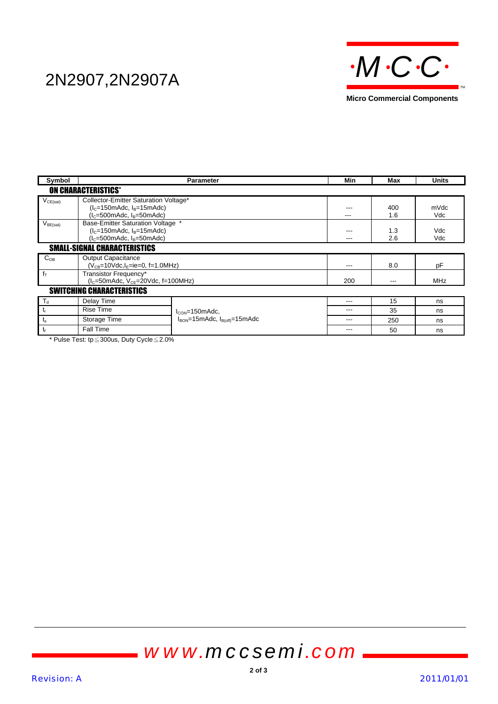

| Symbol                              |                                                                                                                                            | <b>Parameter</b>                                      | Min               | Max               | Units             |  |  |
|-------------------------------------|--------------------------------------------------------------------------------------------------------------------------------------------|-------------------------------------------------------|-------------------|-------------------|-------------------|--|--|
|                                     | <b>ON CHARACTERISTICS*</b>                                                                                                                 |                                                       |                   |                   |                   |  |  |
| $V_{CE(sat)}$                       | Collector-Emitter Saturation Voltage*<br>$(IC=150m$ Adc, I <sub>B</sub> =15m<br>Adc)                                                       |                                                       | ---               | 400               | mVdc              |  |  |
| V <sub>BE(sat)</sub>                | $(IC=500m$ Adc, I <sub>R</sub> =50m<br>Adc)<br>Base-Emitter Saturation Voltage *<br>$(IC=150mAdc, IB=15mAdc)$<br>$(lc=500mAdc, lB=50mAdc)$ |                                                       | ---<br>---<br>--- | 1.6<br>1.3<br>2.6 | Vdc<br>Vdc<br>Vdc |  |  |
| <b>SMALL-SIGNAL CHARACTERISTICS</b> |                                                                                                                                            |                                                       |                   |                   |                   |  |  |
| $C_{OB}$                            | <b>Output Capacitance</b><br>$(V_{CB} = 10$ Vdc, I <sub>E</sub> =ie=0, f=1.0MHz)                                                           |                                                       | ---               | 8.0               | pF                |  |  |
| $f_T$                               | Transistor Frequency*<br>$(l_c=50$ mAdc, $V_{CE}=20$ Vdc, f=100MHz)                                                                        |                                                       | 200               | ---               | MHz               |  |  |
| <b>SWITCHING CHARACTERISTICS</b>    |                                                                                                                                            |                                                       |                   |                   |                   |  |  |
| $T_{d}$                             | Delay Time                                                                                                                                 |                                                       | ---               | 15                | ns                |  |  |
| $t_{r}$                             | <b>Rise Time</b>                                                                                                                           | $I_{\text{CON}}$ =150mAdc,                            | ---               | 35                | ns                |  |  |
| $t_{\rm s}$                         | Storage Time                                                                                                                               | $I_{\text{BON}}$ =15mAdc, $I_{\text{B(off)}}$ =15mAdc | ---               | 250               | ns                |  |  |
| $t_{\rm f}$                         | <b>Fall Time</b>                                                                                                                           |                                                       | ---               | 50                | ns                |  |  |

\* Pulse Test: tp≦300us, Duty Cycle≦2.0%

# *www.mccsemi.com*